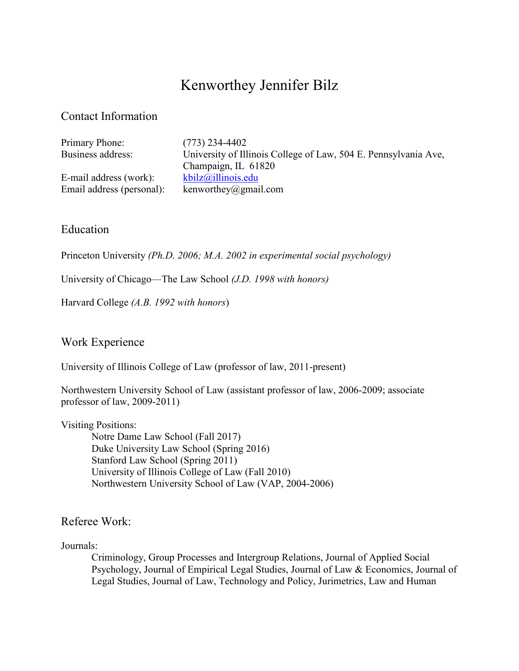# Kenworthey Jennifer Bilz

# Contact Information

| Primary Phone:<br>Business address: | $(773)$ 234-4402<br>University of Illinois College of Law, 504 E. Pennsylvania Ave, |
|-------------------------------------|-------------------------------------------------------------------------------------|
|                                     | Champaign, IL 61820                                                                 |
| E-mail address (work):              | kbilz@illinois.edu                                                                  |
| Email address (personal):           | kenworthey@gmail.com                                                                |
|                                     |                                                                                     |

# Education

Princeton University *(Ph.D. 2006; M.A. 2002 in experimental social psychology)*

University of Chicago—The Law School *(J.D. 1998 with honors)*

Harvard College *(A.B. 1992 with honors*)

# Work Experience

University of Illinois College of Law (professor of law, 2011-present)

Northwestern University School of Law (assistant professor of law, 2006-2009; associate professor of law, 2009-2011)

Visiting Positions:

Notre Dame Law School (Fall 2017) Duke University Law School (Spring 2016) Stanford Law School (Spring 2011) University of Illinois College of Law (Fall 2010) Northwestern University School of Law (VAP, 2004-2006)

# Referee Work:

#### Journals:

Criminology, Group Processes and Intergroup Relations, Journal of Applied Social Psychology, Journal of Empirical Legal Studies, Journal of Law & Economics, Journal of Legal Studies, Journal of Law, Technology and Policy, Jurimetrics, Law and Human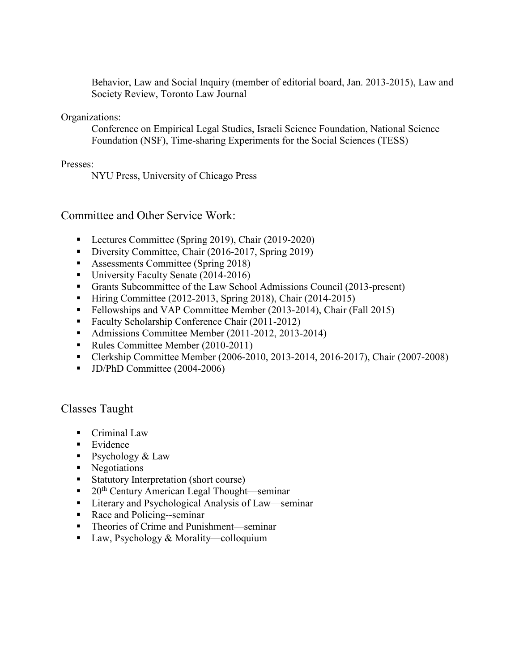Behavior, Law and Social Inquiry (member of editorial board, Jan. 2013-2015), Law and Society Review, Toronto Law Journal

#### Organizations:

Conference on Empirical Legal Studies, Israeli Science Foundation, National Science Foundation (NSF), Time-sharing Experiments for the Social Sciences (TESS)

#### Presses:

NYU Press, University of Chicago Press

### Committee and Other Service Work:

- **Lectures Committee (Spring 2019), Chair (2019-2020)**
- Diversity Committee, Chair (2016-2017, Spring 2019)
- Assessments Committee (Spring 2018)
- University Faculty Senate (2014-2016)
- Grants Subcommittee of the Law School Admissions Council (2013-present)
- Hiring Committee (2012-2013, Spring 2018), Chair (2014-2015)
- Fellowships and VAP Committee Member (2013-2014), Chair (Fall 2015)
- Faculty Scholarship Conference Chair (2011-2012)
- Admissions Committee Member (2011-2012, 2013-2014)
- Rules Committee Member (2010-2011)
- Clerkship Committee Member (2006-2010, 2013-2014, 2016-2017), Chair (2007-2008)
- $\blacksquare$  JD/PhD Committee (2004-2006)

### Classes Taught

- **Criminal Law**
- $\blacksquare$  Evidence
- Psychology  $& Law$
- Negotiations
- Statutory Interpretation (short course)
- $\blacksquare$  20<sup>th</sup> Century American Legal Thought—seminar
- Literary and Psychological Analysis of Law—seminar
- Race and Policing--seminar
- Theories of Crime and Punishment—seminar
- Law, Psychology & Morality—colloquium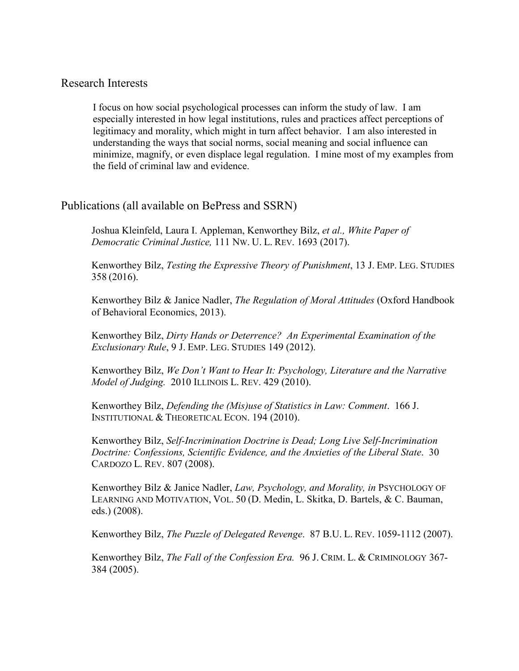### Research Interests

I focus on how social psychological processes can inform the study of law. I am especially interested in how legal institutions, rules and practices affect perceptions of legitimacy and morality, which might in turn affect behavior. I am also interested in understanding the ways that social norms, social meaning and social influence can minimize, magnify, or even displace legal regulation. I mine most of my examples from the field of criminal law and evidence.

### Publications (all available on BePress and SSRN)

Joshua Kleinfeld, Laura I. Appleman, Kenworthey Bilz, *et al., White Paper of Democratic Criminal Justice,* 111 NW. U. L. REV. 1693 (2017).

Kenworthey Bilz, *Testing the Expressive Theory of Punishment*, 13 J. EMP. LEG. STUDIES 358 (2016).

Kenworthey Bilz & Janice Nadler, *The Regulation of Moral Attitudes* (Oxford Handbook of Behavioral Economics, 2013).

Kenworthey Bilz, *Dirty Hands or Deterrence? An Experimental Examination of the Exclusionary Rule*, 9 J. EMP. LEG. STUDIES 149 (2012).

Kenworthey Bilz, *We Don't Want to Hear It: Psychology, Literature and the Narrative Model of Judging.* 2010 ILLINOIS L. REV. 429 (2010).

Kenworthey Bilz, *Defending the (Mis)use of Statistics in Law: Comment*. 166 J. INSTITUTIONAL & THEORETICAL ECON. 194 (2010).

Kenworthey Bilz, *Self-Incrimination Doctrine is Dead; Long Live Self-Incrimination Doctrine: Confessions, Scientific Evidence, and the Anxieties of the Liberal State*. 30 CARDOZO L. REV. 807 (2008).

Kenworthey Bilz & Janice Nadler, *Law, Psychology, and Morality, in* PSYCHOLOGY OF LEARNING AND MOTIVATION, VOL. 50 (D. Medin, L. Skitka, D. Bartels, & C. Bauman, eds.) (2008).

Kenworthey Bilz, *The Puzzle of Delegated Revenge*. 87 B.U. L. REV. 1059-1112 (2007).

Kenworthey Bilz, *The Fall of the Confession Era.* 96 J. CRIM. L. & CRIMINOLOGY 367- 384 (2005).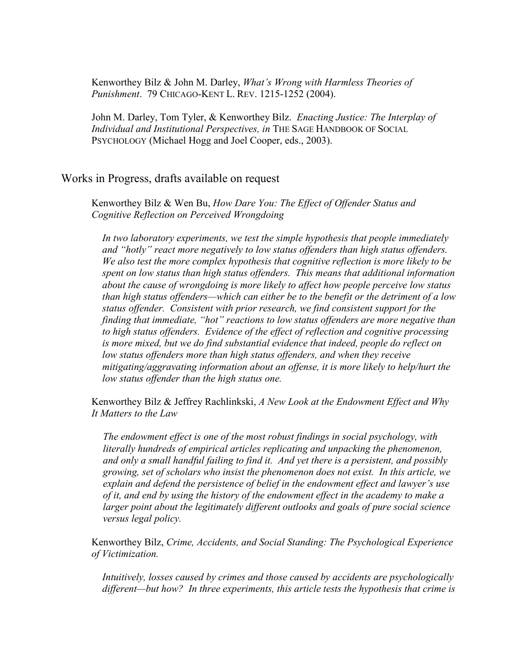Kenworthey Bilz & John M. Darley, *What's Wrong with Harmless Theories of Punishment*. 79 CHICAGO-KENT L. REV. 1215-1252 (2004).

John M. Darley, Tom Tyler, & Kenworthey Bilz. *Enacting Justice: The Interplay of Individual and Institutional Perspectives, in* THE SAGE HANDBOOK OF SOCIAL PSYCHOLOGY (Michael Hogg and Joel Cooper, eds., 2003).

Works in Progress, drafts available on request

Kenworthey Bilz & Wen Bu, *How Dare You: The Effect of Offender Status and Cognitive Reflection on Perceived Wrongdoing*

*In two laboratory experiments, we test the simple hypothesis that people immediately and "hotly" react more negatively to low status offenders than high status offenders. We also test the more complex hypothesis that cognitive reflection is more likely to be spent on low status than high status offenders. This means that additional information about the cause of wrongdoing is more likely to affect how people perceive low status than high status offenders—which can either be to the benefit or the detriment of a low status offender. Consistent with prior research, we find consistent support for the finding that immediate, "hot" reactions to low status offenders are more negative than to high status offenders. Evidence of the effect of reflection and cognitive processing is more mixed, but we do find substantial evidence that indeed, people do reflect on low status offenders more than high status offenders, and when they receive mitigating/aggravating information about an offense, it is more likely to help/hurt the low status offender than the high status one.*

Kenworthey Bilz & Jeffrey Rachlinkski, *A New Look at the Endowment Effect and Why It Matters to the Law*

*The endowment effect is one of the most robust findings in social psychology, with literally hundreds of empirical articles replicating and unpacking the phenomenon, and only a small handful failing to find it. And yet there is a persistent, and possibly growing, set of scholars who insist the phenomenon does not exist. In this article, we explain and defend the persistence of belief in the endowment effect and lawyer's use of it, and end by using the history of the endowment effect in the academy to make a larger point about the legitimately different outlooks and goals of pure social science versus legal policy.*

Kenworthey Bilz, *Crime, Accidents, and Social Standing: The Psychological Experience of Victimization.*

*Intuitively, losses caused by crimes and those caused by accidents are psychologically different—but how? In three experiments, this article tests the hypothesis that crime is*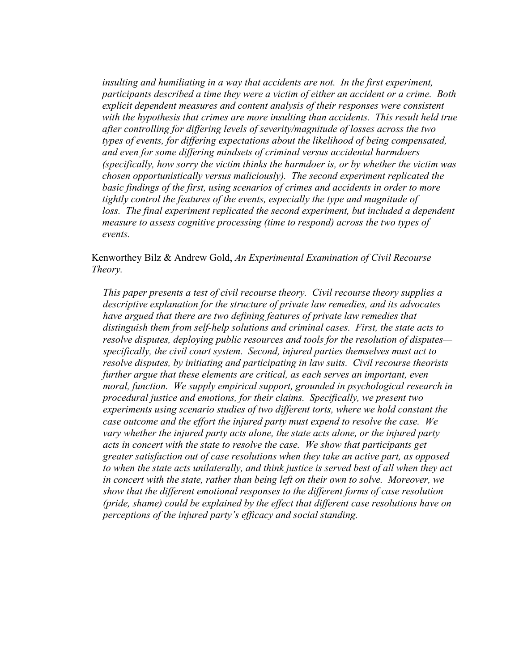*insulting and humiliating in a way that accidents are not. In the first experiment, participants described a time they were a victim of either an accident or a crime. Both explicit dependent measures and content analysis of their responses were consistent with the hypothesis that crimes are more insulting than accidents. This result held true after controlling for differing levels of severity/magnitude of losses across the two types of events, for differing expectations about the likelihood of being compensated, and even for some differing mindsets of criminal versus accidental harmdoers (specifically, how sorry the victim thinks the harmdoer is, or by whether the victim was chosen opportunistically versus maliciously). The second experiment replicated the basic findings of the first, using scenarios of crimes and accidents in order to more tightly control the features of the events, especially the type and magnitude of*  loss. The final experiment replicated the second experiment, but included a dependent *measure to assess cognitive processing (time to respond) across the two types of events.*

Kenworthey Bilz & Andrew Gold, *An Experimental Examination of Civil Recourse Theory.*

*This paper presents a test of civil recourse theory. Civil recourse theory supplies a descriptive explanation for the structure of private law remedies, and its advocates have argued that there are two defining features of private law remedies that distinguish them from self-help solutions and criminal cases. First, the state acts to resolve disputes, deploying public resources and tools for the resolution of disputes specifically, the civil court system. Second, injured parties themselves must act to resolve disputes, by initiating and participating in law suits. Civil recourse theorists further argue that these elements are critical, as each serves an important, even moral, function. We supply empirical support, grounded in psychological research in procedural justice and emotions, for their claims. Specifically, we present two experiments using scenario studies of two different torts, where we hold constant the case outcome and the effort the injured party must expend to resolve the case. We vary whether the injured party acts alone, the state acts alone, or the injured party acts in concert with the state to resolve the case. We show that participants get greater satisfaction out of case resolutions when they take an active part, as opposed to when the state acts unilaterally, and think justice is served best of all when they act in concert with the state, rather than being left on their own to solve. Moreover, we show that the different emotional responses to the different forms of case resolution (pride, shame) could be explained by the effect that different case resolutions have on perceptions of the injured party's efficacy and social standing.*